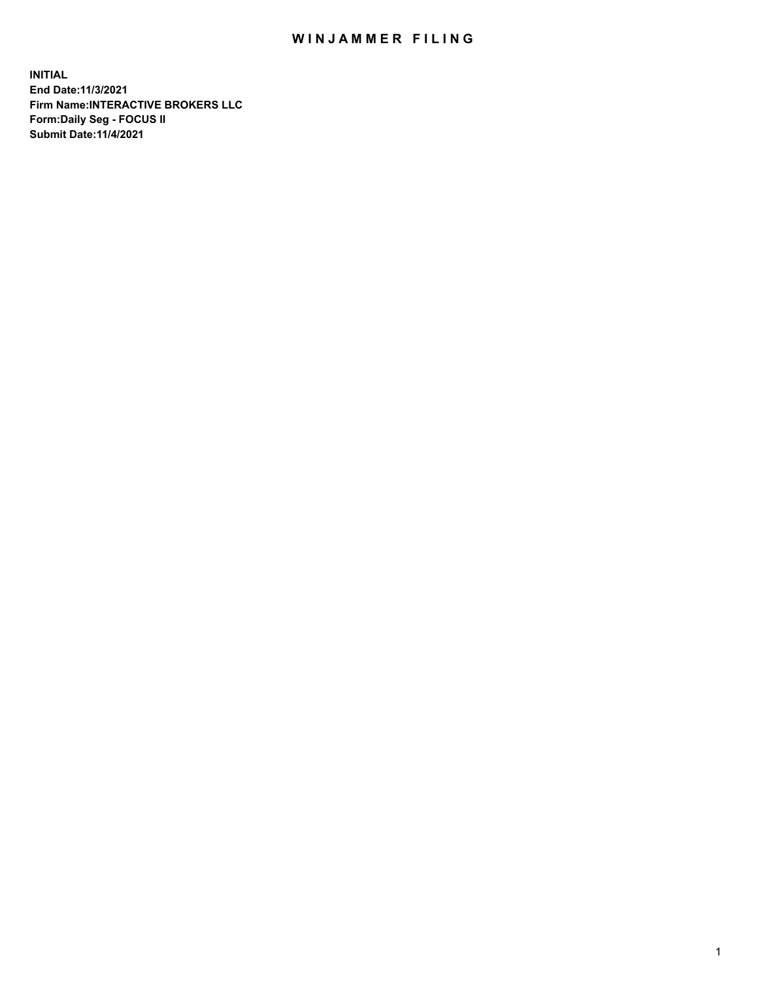## WIN JAMMER FILING

**INITIAL End Date:11/3/2021 Firm Name:INTERACTIVE BROKERS LLC Form:Daily Seg - FOCUS II Submit Date:11/4/2021**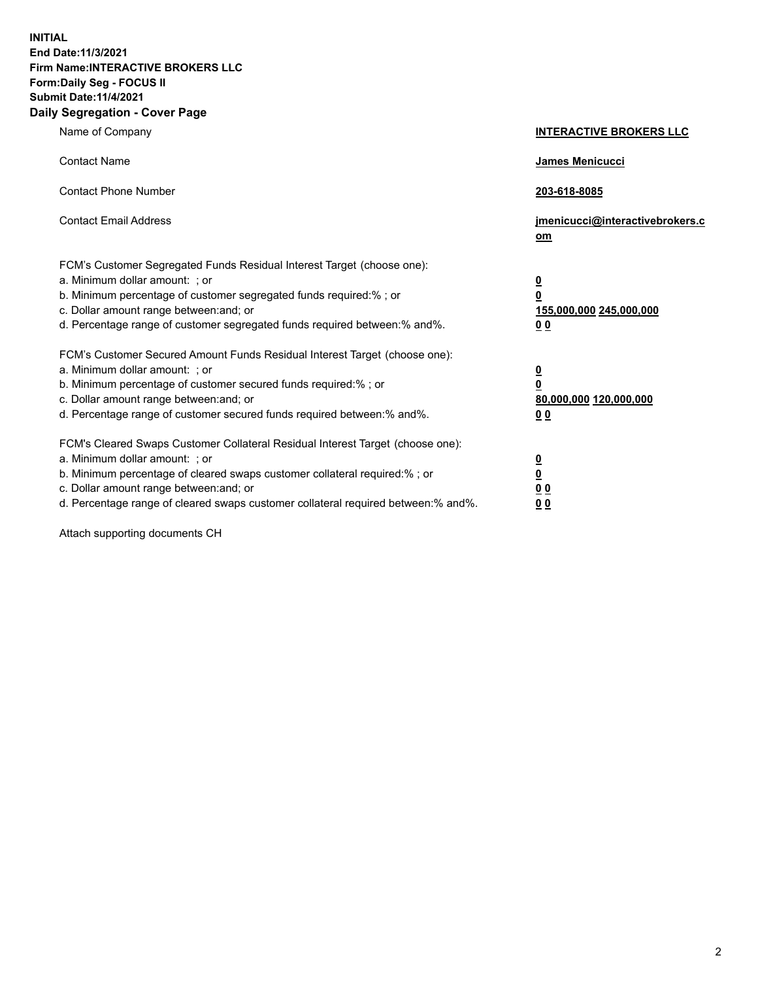**INITIAL End Date:11/3/2021 Firm Name:INTERACTIVE BROKERS LLC Form:Daily Seg - FOCUS II Submit Date:11/4/2021 Daily Segregation - Cover Page**

| Name of Company                                                                                                                                                                                                                                                                                                                | <b>INTERACTIVE BROKERS LLC</b>                                                                 |
|--------------------------------------------------------------------------------------------------------------------------------------------------------------------------------------------------------------------------------------------------------------------------------------------------------------------------------|------------------------------------------------------------------------------------------------|
| <b>Contact Name</b>                                                                                                                                                                                                                                                                                                            | <b>James Menicucci</b>                                                                         |
| <b>Contact Phone Number</b>                                                                                                                                                                                                                                                                                                    | 203-618-8085                                                                                   |
| <b>Contact Email Address</b>                                                                                                                                                                                                                                                                                                   | jmenicucci@interactivebrokers.c<br>om                                                          |
| FCM's Customer Segregated Funds Residual Interest Target (choose one):<br>a. Minimum dollar amount: ; or<br>b. Minimum percentage of customer segregated funds required:% ; or<br>c. Dollar amount range between: and; or<br>d. Percentage range of customer segregated funds required between:% and%.                         | $\overline{\mathbf{0}}$<br>$\overline{\mathbf{0}}$<br>155,000,000 245,000,000<br>00            |
| FCM's Customer Secured Amount Funds Residual Interest Target (choose one):<br>a. Minimum dollar amount: ; or<br>b. Minimum percentage of customer secured funds required:% ; or<br>c. Dollar amount range between: and; or<br>d. Percentage range of customer secured funds required between:% and%.                           | $\overline{\mathbf{0}}$<br>$\overline{\mathbf{0}}$<br>80,000,000 120,000,000<br>0 <sub>0</sub> |
| FCM's Cleared Swaps Customer Collateral Residual Interest Target (choose one):<br>a. Minimum dollar amount: ; or<br>b. Minimum percentage of cleared swaps customer collateral required:% ; or<br>c. Dollar amount range between: and; or<br>d. Percentage range of cleared swaps customer collateral required between:% and%. | $\overline{\mathbf{0}}$<br><u>0</u><br>0 <sub>0</sub><br>0 <sub>0</sub>                        |

Attach supporting documents CH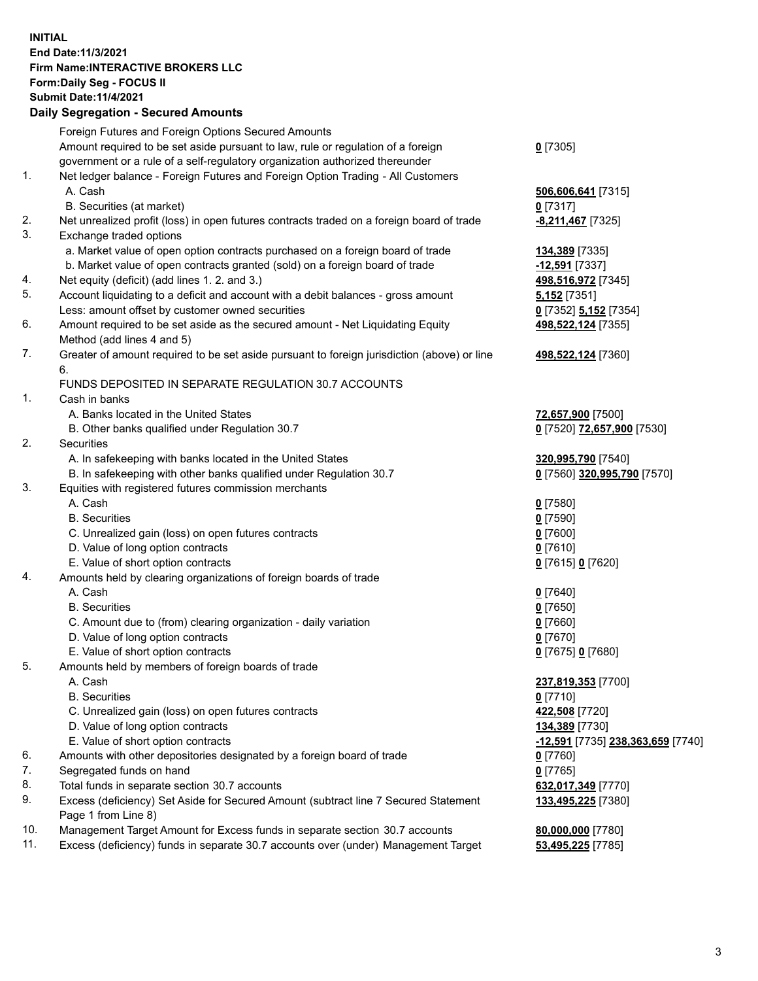## **INITIAL End Date:11/3/2021 Firm Name:INTERACTIVE BROKERS LLC Form:Daily Seg - FOCUS II Submit Date:11/4/2021 Daily Segregation - Secured Amounts**

|     | Dany Segregation - Secured Amounts                                                          |                                   |
|-----|---------------------------------------------------------------------------------------------|-----------------------------------|
|     | Foreign Futures and Foreign Options Secured Amounts                                         |                                   |
|     | Amount required to be set aside pursuant to law, rule or regulation of a foreign            | $0$ [7305]                        |
|     | government or a rule of a self-regulatory organization authorized thereunder                |                                   |
| 1.  | Net ledger balance - Foreign Futures and Foreign Option Trading - All Customers             |                                   |
|     | A. Cash                                                                                     | 506,606,641 [7315]                |
|     | B. Securities (at market)                                                                   | $0$ [7317]                        |
| 2.  | Net unrealized profit (loss) in open futures contracts traded on a foreign board of trade   | -8,211,467 <sup>[7325]</sup>      |
| 3.  | Exchange traded options                                                                     |                                   |
|     | a. Market value of open option contracts purchased on a foreign board of trade              | 134,389 [7335]                    |
|     | b. Market value of open contracts granted (sold) on a foreign board of trade                | $-12,591$ [7337]                  |
| 4.  | Net equity (deficit) (add lines 1. 2. and 3.)                                               | 498,516,972 [7345]                |
| 5.  | Account liquidating to a deficit and account with a debit balances - gross amount           | 5,152 [7351]                      |
|     | Less: amount offset by customer owned securities                                            | 0 [7352] 5,152 [7354]             |
| 6.  | Amount required to be set aside as the secured amount - Net Liquidating Equity              | 498,522,124 [7355]                |
|     | Method (add lines 4 and 5)                                                                  |                                   |
| 7.  | Greater of amount required to be set aside pursuant to foreign jurisdiction (above) or line | 498,522,124 [7360]                |
|     | 6.                                                                                          |                                   |
|     | FUNDS DEPOSITED IN SEPARATE REGULATION 30.7 ACCOUNTS                                        |                                   |
| 1.  | Cash in banks                                                                               |                                   |
|     | A. Banks located in the United States                                                       | 72,657,900 [7500]                 |
|     | B. Other banks qualified under Regulation 30.7                                              | 0 [7520] 72,657,900 [7530]        |
| 2.  | Securities                                                                                  |                                   |
|     | A. In safekeeping with banks located in the United States                                   | 320,995,790 [7540]                |
|     | B. In safekeeping with other banks qualified under Regulation 30.7                          | 0 [7560] 320,995,790 [7570]       |
| 3.  | Equities with registered futures commission merchants                                       |                                   |
|     | A. Cash                                                                                     | $0$ [7580]                        |
|     | <b>B.</b> Securities                                                                        | $0$ [7590]                        |
|     | C. Unrealized gain (loss) on open futures contracts                                         | $0$ [7600]                        |
|     | D. Value of long option contracts                                                           | $0$ [7610]                        |
|     | E. Value of short option contracts                                                          | 0 [7615] 0 [7620]                 |
| 4.  | Amounts held by clearing organizations of foreign boards of trade                           |                                   |
|     | A. Cash                                                                                     | $0$ [7640]                        |
|     | <b>B.</b> Securities                                                                        | $0$ [7650]                        |
|     | C. Amount due to (from) clearing organization - daily variation                             | $0$ [7660]                        |
|     | D. Value of long option contracts                                                           | $0$ [7670]                        |
|     | E. Value of short option contracts                                                          | 0 [7675] 0 [7680]                 |
| 5.  | Amounts held by members of foreign boards of trade                                          |                                   |
|     | A. Cash                                                                                     | 237,819,353 [7700]                |
|     | <b>B.</b> Securities                                                                        | $0$ [7710]                        |
|     | C. Unrealized gain (loss) on open futures contracts                                         | 422,508 [7720]                    |
|     | D. Value of long option contracts                                                           | 134,389 [7730]                    |
|     | E. Value of short option contracts                                                          | -12,591 [7735] 238,363,659 [7740] |
| 6.  | Amounts with other depositories designated by a foreign board of trade                      | $0$ [7760]                        |
| 7.  | Segregated funds on hand                                                                    | $0$ [7765]                        |
| 8.  | Total funds in separate section 30.7 accounts                                               | 632,017,349 [7770]                |
| 9.  | Excess (deficiency) Set Aside for Secured Amount (subtract line 7 Secured Statement         | 133,495,225 [7380]                |
|     | Page 1 from Line 8)                                                                         |                                   |
| 10. | Management Target Amount for Excess funds in separate section 30.7 accounts                 | 80,000,000 [7780]                 |
| 11. | Excess (deficiency) funds in separate 30.7 accounts over (under) Management Target          | 53,495,225 [7785]                 |
|     |                                                                                             |                                   |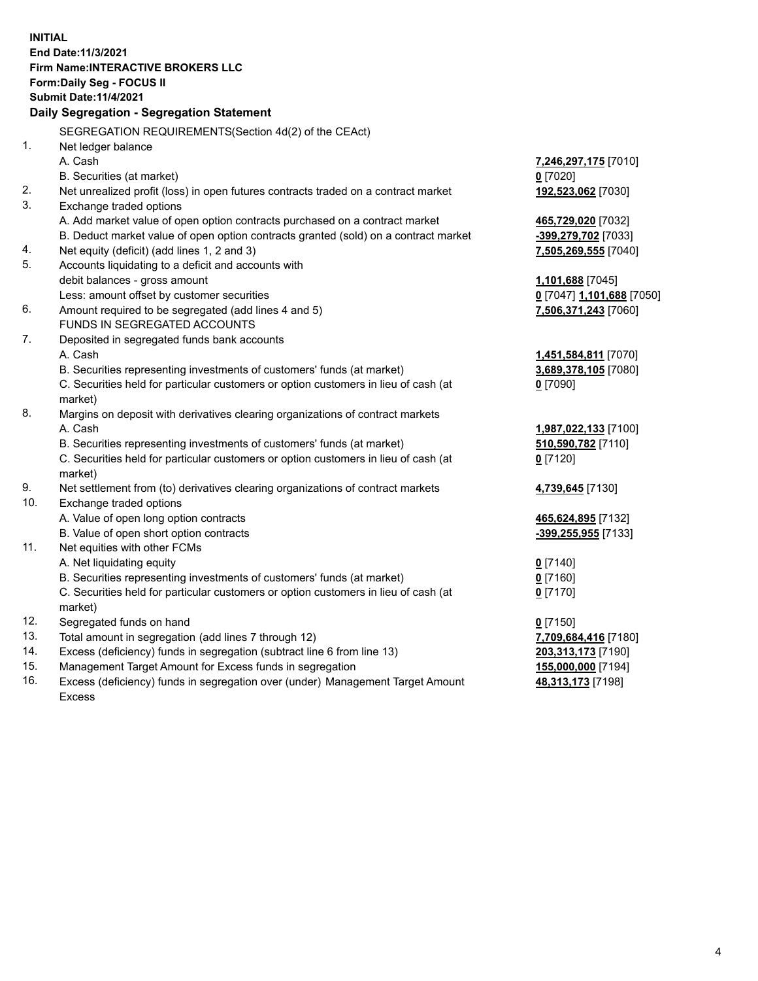**INITIAL End Date:11/3/2021 Firm Name:INTERACTIVE BROKERS LLC Form:Daily Seg - FOCUS II Submit Date:11/4/2021 Daily Segregation - Segregation Statement** SEGREGATION REQUIREMENTS(Section 4d(2) of the CEAct) 1. Net ledger balance A. Cash **7,246,297,175** [7010] B. Securities (at market) **0** [7020] 2. Net unrealized profit (loss) in open futures contracts traded on a contract market **192,523,062** [7030] 3. Exchange traded options A. Add market value of open option contracts purchased on a contract market **465,729,020** [7032] B. Deduct market value of open option contracts granted (sold) on a contract market **-399,279,702** [7033] 4. Net equity (deficit) (add lines 1, 2 and 3) **7,505,269,555** [7040] 5. Accounts liquidating to a deficit and accounts with debit balances - gross amount **1,101,688** [7045] Less: amount offset by customer securities **0** [7047] **1,101,688** [7050] 6. Amount required to be segregated (add lines 4 and 5) **7,506,371,243** [7060] FUNDS IN SEGREGATED ACCOUNTS 7. Deposited in segregated funds bank accounts A. Cash **1,451,584,811** [7070] B. Securities representing investments of customers' funds (at market) **3,689,378,105** [7080] C. Securities held for particular customers or option customers in lieu of cash (at market) **0** [7090] 8. Margins on deposit with derivatives clearing organizations of contract markets A. Cash **1,987,022,133** [7100] B. Securities representing investments of customers' funds (at market) **510,590,782** [7110] C. Securities held for particular customers or option customers in lieu of cash (at market) **0** [7120] 9. Net settlement from (to) derivatives clearing organizations of contract markets **4,739,645** [7130] 10. Exchange traded options A. Value of open long option contracts **465,624,895** [7132] B. Value of open short option contracts **-399,255,955** [7133] 11. Net equities with other FCMs A. Net liquidating equity **0** [7140] B. Securities representing investments of customers' funds (at market) **0** [7160] C. Securities held for particular customers or option customers in lieu of cash (at market) **0** [7170] 12. Segregated funds on hand **0** [7150] 13. Total amount in segregation (add lines 7 through 12) **7,709,684,416** [7180] 14. Excess (deficiency) funds in segregation (subtract line 6 from line 13) **203,313,173** [7190] 15. Management Target Amount for Excess funds in segregation **155,000,000** [7194]

16. Excess (deficiency) funds in segregation over (under) Management Target Amount Excess

**48,313,173** [7198]